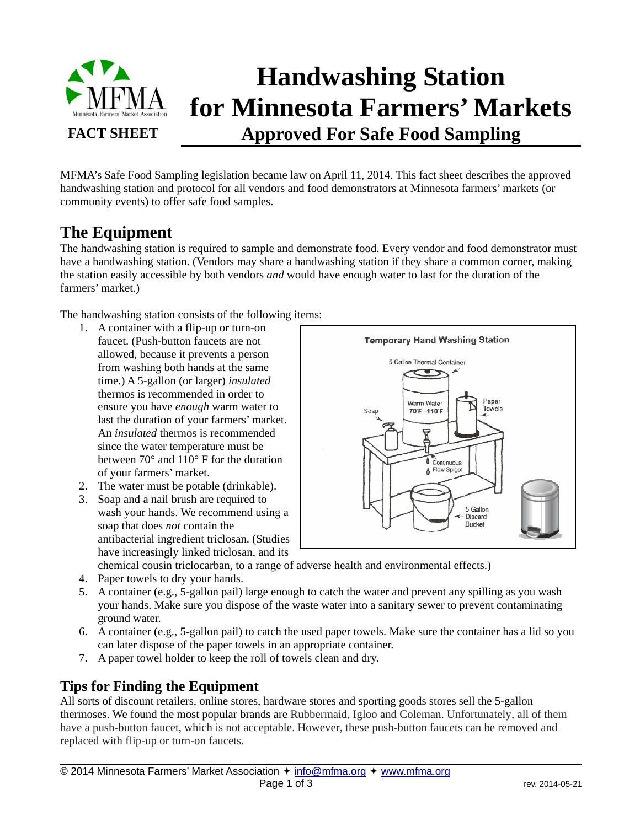

# **Handwashing Station for Minnesota Farmers' Markets Approved For Safe Food Sampling**

MFMA's Safe Food Sampling legislation became law on April 11, 2014. This fact sheet describes the approved handwashing station and protocol for all vendors and food demonstrators at Minnesota farmers' markets (or community events) to offer safe food samples.

# **The Equipment**

The handwashing station is required to sample and demonstrate food. Every vendor and food demonstrator must have a handwashing station. (Vendors may share a handwashing station if they share a common corner, making the station easily accessible by both vendors *and* would have enough water to last for the duration of the farmers' market.)

The handwashing station consists of the following items:

- 1. A container with a flip-up or turn-on faucet. (Push-button faucets are not allowed, because it prevents a person from washing both hands at the same time.) A 5-gallon (or larger) *insulated* thermos is recommended in order to ensure you have *enough* warm water to last the duration of your farmers' market. An *insulated* thermos is recommended since the water temperature must be between 70° and 110° F for the duration of your farmers' market.
- 2. The water must be potable (drinkable).
- 3. Soap and a nail brush are required to wash your hands. We recommend using a soap that does *not* contain the antibacterial ingredient triclosan. (Studies have increasingly linked triclosan, and its



chemical cousin triclocarban, to a range of adverse health and environmental effects.)

- 4. Paper towels to dry your hands.
- 5. A container (e.g., 5-gallon pail) large enough to catch the water and prevent any spilling as you wash your hands. Make sure you dispose of the waste water into a sanitary sewer to prevent contaminating ground water.
- 6. A container (e.g., 5-gallon pail) to catch the used paper towels. Make sure the container has a lid so you can later dispose of the paper towels in an appropriate container.
- 7. A paper towel holder to keep the roll of towels clean and dry.

## **Tips for Finding the Equipment**

 $\overline{a}$ 

All sorts of discount retailers, online stores, hardware stores and sporting goods stores sell the 5-gallon thermoses. We found the most popular brands are Rubbermaid, Igloo and Coleman. Unfortunately, all of them have a push-button faucet, which is not acceptable. However, these push-button faucets can be removed and replaced with flip-up or turn-on faucets.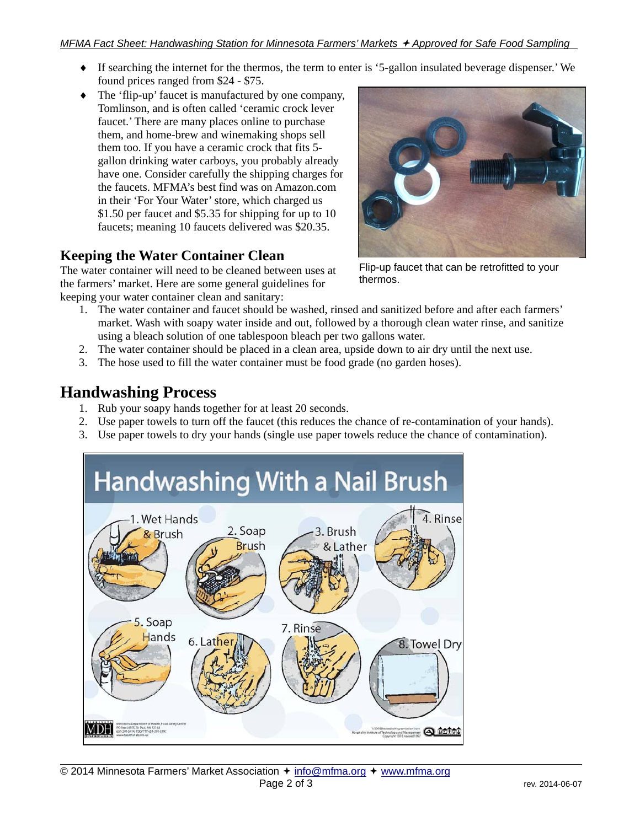- If searching the internet for the thermos, the term to enter is '5-gallon insulated beverage dispenser.' We found prices ranged from \$24 - \$75.
- The 'flip-up' faucet is manufactured by one company, Tomlinson, and is often called 'ceramic crock lever faucet.' There are many places online to purchase them, and home-brew and winemaking shops sell them too. If you have a ceramic crock that fits 5 gallon drinking water carboys, you probably already have one. Consider carefully the shipping charges for the faucets. MFMA's best find was on Amazon.com in their 'For Your Water' store, which charged us \$1.50 per faucet and \$5.35 for shipping for up to 10 faucets; meaning 10 faucets delivered was \$20.35.

## **Keeping the Water Container Clean**

The water container will need to be cleaned between uses at the farmers' market. Here are some general guidelines for keeping your water container clean and sanitary:



Flip-up faucet that can be retrofitted to your thermos.

- 1. The water container and faucet should be washed, rinsed and sanitized before and after each farmers' market. Wash with soapy water inside and out, followed by a thorough clean water rinse, and sanitize using a bleach solution of one tablespoon bleach per two gallons water.
- 2. The water container should be placed in a clean area, upside down to air dry until the next use.
- 3. The hose used to fill the water container must be food grade (no garden hoses).

## **Handwashing Process**

 $\overline{a}$ 

- 1. Rub your soapy hands together for at least 20 seconds.
- 2. Use paper towels to turn off the faucet (this reduces the chance of re-contamination of your hands).
- 3. Use paper towels to dry your hands (single use paper towels reduce the chance of contamination).